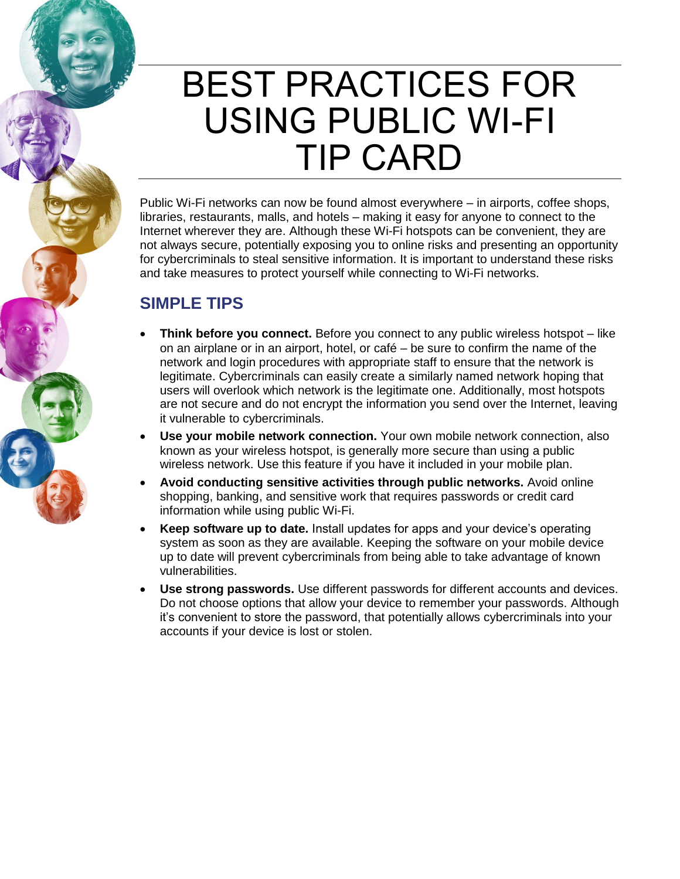## BEST PRACTICES FOR USING PUBLIC WI-FI TIP CARD

Public Wi-Fi networks can now be found almost everywhere – in airports, coffee shops, libraries, restaurants, malls, and hotels – making it easy for anyone to connect to the Internet wherever they are. Although these Wi-Fi hotspots can be convenient, they are not always secure, potentially exposing you to online risks and presenting an opportunity for cybercriminals to steal sensitive information. It is important to understand these risks and take measures to protect yourself while connecting to Wi-Fi networks.

## **SIMPLE TIPS**

- **Think before you connect.** Before you connect to any public wireless hotspot like on an airplane or in an airport, hotel, or café – be sure to confirm the name of the network and login procedures with appropriate staff to ensure that the network is legitimate. Cybercriminals can easily create a similarly named network hoping that users will overlook which network is the legitimate one. Additionally, most hotspots are not secure and do not encrypt the information you send over the Internet, leaving it vulnerable to cybercriminals.
- **Use your mobile network connection.** Your own mobile network connection, also known as your wireless hotspot, is generally more secure than using a public wireless network. Use this feature if you have it included in your mobile plan.
- **Avoid conducting sensitive activities through public networks.** Avoid online shopping, banking, and sensitive work that requires passwords or credit card information while using public Wi-Fi.
- **Keep software up to date.** Install updates for apps and your device's operating system as soon as they are available. Keeping the software on your mobile device up to date will prevent cybercriminals from being able to take advantage of known vulnerabilities.
- **Use strong passwords.** Use different passwords for different accounts and devices. Do not choose options that allow your device to remember your passwords. Although it's convenient to store the password, that potentially allows cybercriminals into your accounts if your device is lost or stolen.